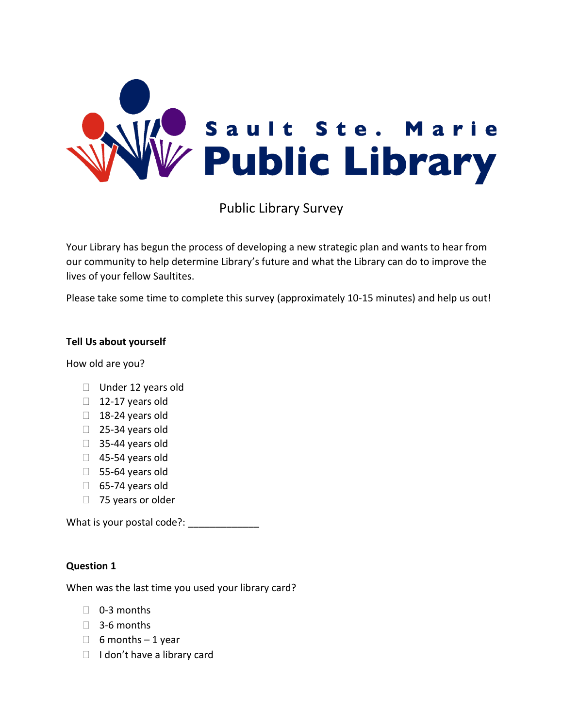

Public Library Survey

Your Library has begun the process of developing a new strategic plan and wants to hear from our community to help determine Library's future and what the Library can do to improve the lives of your fellow Saultites.

Please take some time to complete this survey (approximately 10-15 minutes) and help us out!

# **Tell Us about yourself**

How old are you?

- $\Box$  Under 12 years old
- $\Box$  12-17 years old
- $\Box$  18-24 years old
- □ 25-34 years old
- $\Box$  35-44 years old
- $\Box$  45-54 years old
- $\Box$  55-64 years old
- $\Box$  65-74 years old
- $\Box$  75 years or older

What is your postal code?: \_\_\_\_\_\_\_\_\_\_\_\_\_

# **Question 1**

When was the last time you used your library card?

- □ 0-3 months
- $\Box$  3-6 months
- $\Box$  6 months 1 year
- $\Box$  I don't have a library card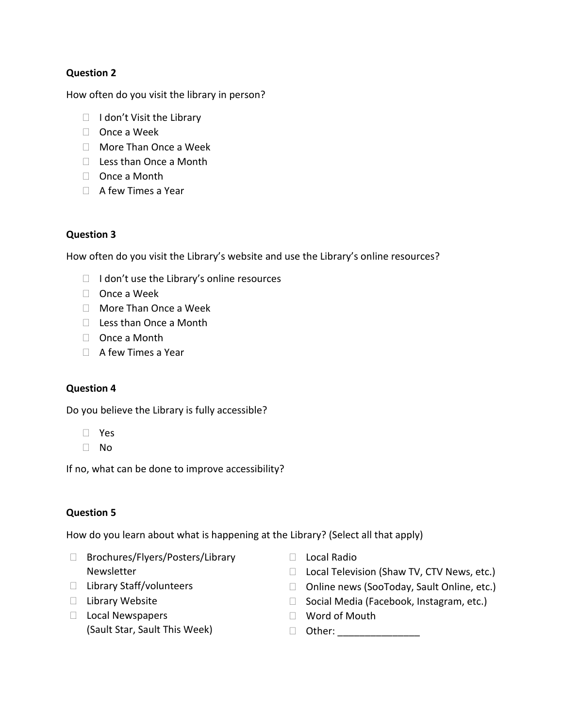How often do you visit the library in person?

- $\Box$  I don't Visit the Library
- □ Once a Week
- □ More Than Once a Week
- □ Less than Once a Month
- □ Once a Month
- $\Box$  A few Times a Year

# **Question 3**

How often do you visit the Library's website and use the Library's online resources?

- $\Box$  I don't use the Library's online resources
- $\Box$  Once a Week
- More Than Once a Week
- $\Box$  Less than Once a Month
- □ Once a Month
- $\Box$  A few Times a Year

# **Question 4**

Do you believe the Library is fully accessible?

- Yes
- No

If no, what can be done to improve accessibility?

# **Question 5**

How do you learn about what is happening at the Library? (Select all that apply)

- □ Brochures/Flyers/Posters/Library Newsletter
- D Local Radio
- □ Local Television (Shaw TV, CTV News, etc.) □ Online news (SooToday, Sault Online, etc.)

□ Social Media (Facebook, Instagram, etc.)

- □ Library Staff/volunteers
- □ Library Website
- $\Box$  Local Newspapers (Sault Star, Sault This Week)
- □ Word of Mouth
- Other: \_\_\_\_\_\_\_\_\_\_\_\_\_\_\_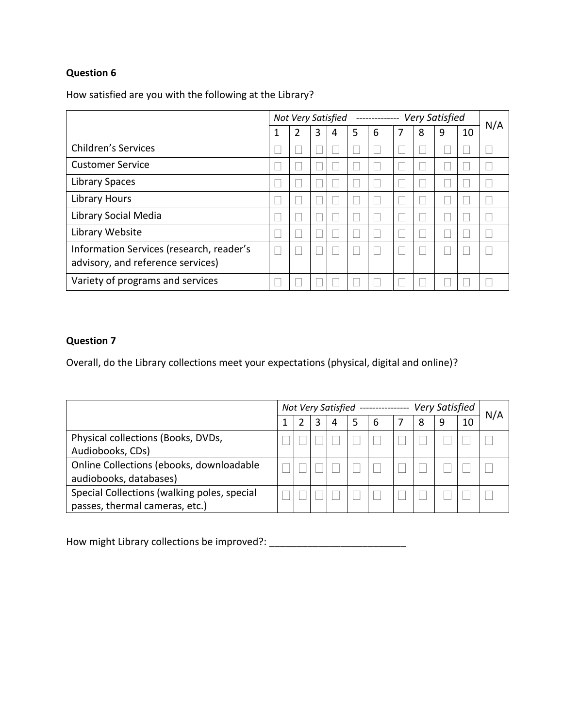How satisfied are you with the following at the Library?

|                                                                               | <b>Very Satisfied</b><br>Not Very Satisfied<br>-------------- |                |   |   |   |   |   |   |   | N/A |  |
|-------------------------------------------------------------------------------|---------------------------------------------------------------|----------------|---|---|---|---|---|---|---|-----|--|
|                                                                               | 1                                                             | $\overline{2}$ | 3 | 4 | 5 | 6 | 7 | 8 | 9 | 10  |  |
| <b>Children's Services</b>                                                    |                                                               |                |   |   |   |   |   |   |   |     |  |
| <b>Customer Service</b>                                                       |                                                               |                |   |   |   |   |   |   |   |     |  |
| <b>Library Spaces</b>                                                         |                                                               |                |   |   |   |   |   |   |   |     |  |
| Library Hours                                                                 |                                                               |                |   |   |   |   |   |   |   |     |  |
| Library Social Media                                                          |                                                               |                |   |   |   |   |   |   |   |     |  |
| Library Website                                                               |                                                               |                |   |   |   |   |   |   |   |     |  |
| Information Services (research, reader's<br>advisory, and reference services) |                                                               |                |   |   |   |   |   |   |   |     |  |
| Variety of programs and services                                              |                                                               |                |   |   |   |   |   |   |   |     |  |

# **Question 7**

Overall, do the Library collections meet your expectations (physical, digital and online)?

|                                             | Very Satisfied<br>Not Very Satisfied |  |   |   |   |   |  |   |   | N/A |  |
|---------------------------------------------|--------------------------------------|--|---|---|---|---|--|---|---|-----|--|
|                                             |                                      |  | 3 | 4 | 5 | 6 |  | 8 | 9 | 10  |  |
| Physical collections (Books, DVDs,          |                                      |  |   |   |   |   |  |   |   |     |  |
| Audiobooks, CDs)                            |                                      |  |   |   |   |   |  |   |   |     |  |
| Online Collections (ebooks, downloadable    |                                      |  |   |   |   |   |  |   |   |     |  |
| audiobooks, databases)                      |                                      |  |   |   |   |   |  |   |   |     |  |
| Special Collections (walking poles, special |                                      |  |   |   |   |   |  |   |   |     |  |
| passes, thermal cameras, etc.)              |                                      |  |   |   |   |   |  |   |   |     |  |

How might Library collections be improved?: \_\_\_\_\_\_\_\_\_\_\_\_\_\_\_\_\_\_\_\_\_\_\_\_\_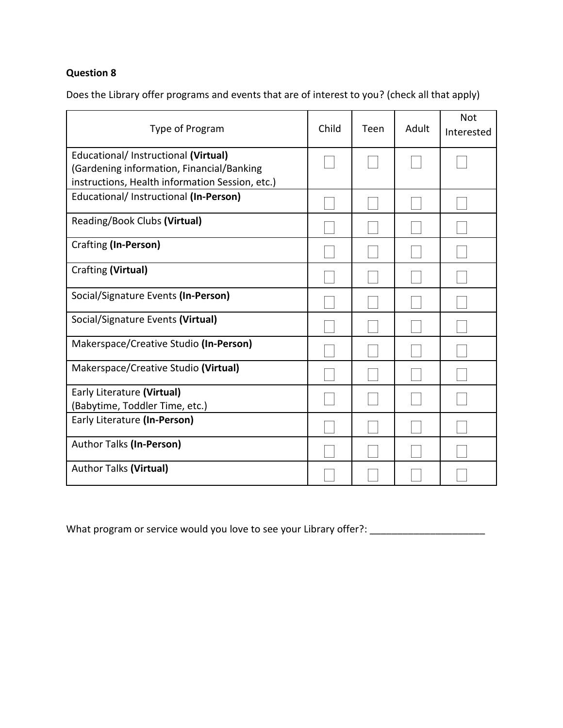Does the Library offer programs and events that are of interest to you? (check all that apply)

| Type of Program                                                                                                                      | Child | Teen | Adult | <b>Not</b><br>Interested |
|--------------------------------------------------------------------------------------------------------------------------------------|-------|------|-------|--------------------------|
| Educational/ Instructional (Virtual)<br>(Gardening information, Financial/Banking<br>instructions, Health information Session, etc.) |       |      |       |                          |
| Educational/ Instructional (In-Person)                                                                                               |       |      |       |                          |
| Reading/Book Clubs (Virtual)                                                                                                         |       |      |       |                          |
| Crafting (In-Person)                                                                                                                 |       |      |       |                          |
| Crafting (Virtual)                                                                                                                   |       |      |       |                          |
| Social/Signature Events (In-Person)                                                                                                  |       |      |       |                          |
| Social/Signature Events (Virtual)                                                                                                    |       |      |       |                          |
| Makerspace/Creative Studio (In-Person)                                                                                               |       |      |       |                          |
| Makerspace/Creative Studio (Virtual)                                                                                                 |       |      |       |                          |
| Early Literature (Virtual)<br>(Babytime, Toddler Time, etc.)                                                                         |       |      |       |                          |
| Early Literature (In-Person)                                                                                                         |       |      |       |                          |
| Author Talks (In-Person)                                                                                                             |       |      |       |                          |
| <b>Author Talks (Virtual)</b>                                                                                                        |       |      |       |                          |

What program or service would you love to see your Library offer?: \_\_\_\_\_\_\_\_\_\_\_\_\_\_\_\_\_\_\_\_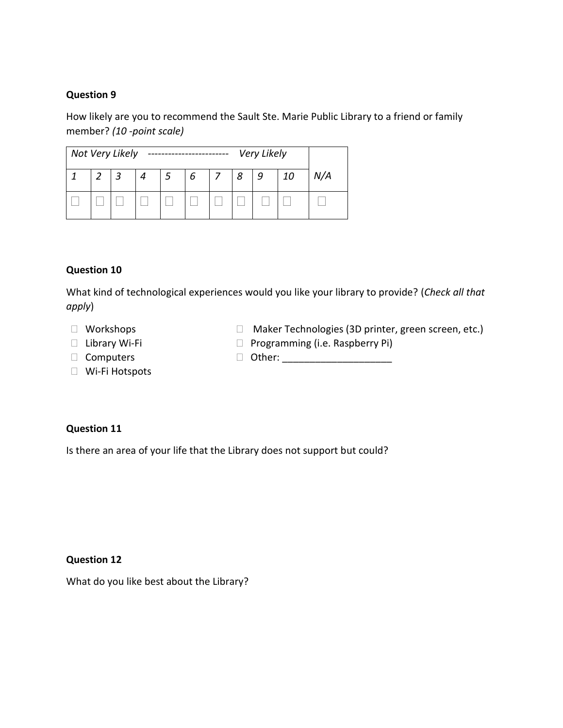How likely are you to recommend the Sault Ste. Marie Public Library to a friend or family member? *(10 -point scale)*

| Not Very Likely<br>Very Likely |  |   |   |  |   |  |   |   |    |     |
|--------------------------------|--|---|---|--|---|--|---|---|----|-----|
|                                |  | 2 | 4 |  | 6 |  | 8 | 9 | 10 | N/A |
|                                |  |   |   |  |   |  |   |   |    |     |

### **Question 10**

What kind of technological experiences would you like your library to provide? (*Check all that apply*)

- Workshops
- Library Wi-Fi
- Computers
- Wi-Fi Hotspots
- □ Maker Technologies (3D printer, green screen, etc.)
- $\Box$  Programming (i.e. Raspberry Pi)
- Other: \_\_\_\_\_\_\_\_\_\_\_\_\_\_\_\_\_\_\_\_

# **Question 11**

Is there an area of your life that the Library does not support but could?

#### **Question 12**

What do you like best about the Library?